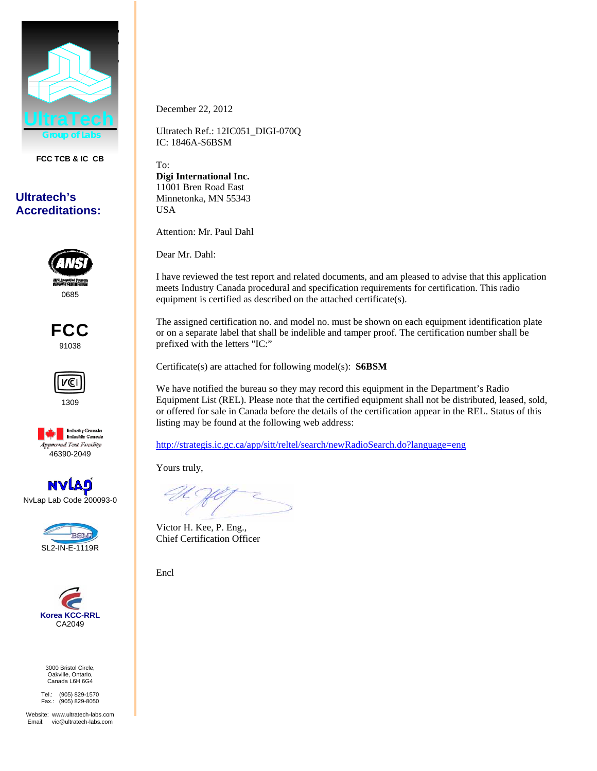

**FCC TCB & IC CB** 

## **Ultratech's Accreditations:**



FCC 91038



1309



NvLap Lab Code 200093-0





3000 Bristol Circle, Oakville, Ontario, Canada L6H 6G4

Tel.: (905) 829-1570 Fax.: (905) 829-8050

Website: www.ultratech-labs.com Email: vic@ultratech-labs.com

December 22, 2012

Ultratech Ref.: 12IC051\_DIGI-070Q IC: 1846A-S6BSM

To: **Digi International Inc.**  11001 Bren Road East Minnetonka, MN 55343 USA

Attention: Mr. Paul Dahl

Dear Mr. Dahl:

I have reviewed the test report and related documents, and am pleased to advise that this application meets Industry Canada procedural and specification requirements for certification. This radio equipment is certified as described on the attached certificate(s).

The assigned certification no. and model no. must be shown on each equipment identification plate or on a separate label that shall be indelible and tamper proof. The certification number shall be prefixed with the letters "IC:"

Certificate(s) are attached for following model(s): **S6BSM** 

We have notified the bureau so they may record this equipment in the Department's Radio Equipment List (REL). Please note that the certified equipment shall not be distributed, leased, sold, or offered for sale in Canada before the details of the certification appear in the REL. Status of this listing may be found at the following web address:

http://strategis.ic.gc.ca/app/sitt/reltel/search/newRadioSearch.do?language=eng

Yours truly,

Victor H. Kee, P. Eng., Chief Certification Officer

Encl